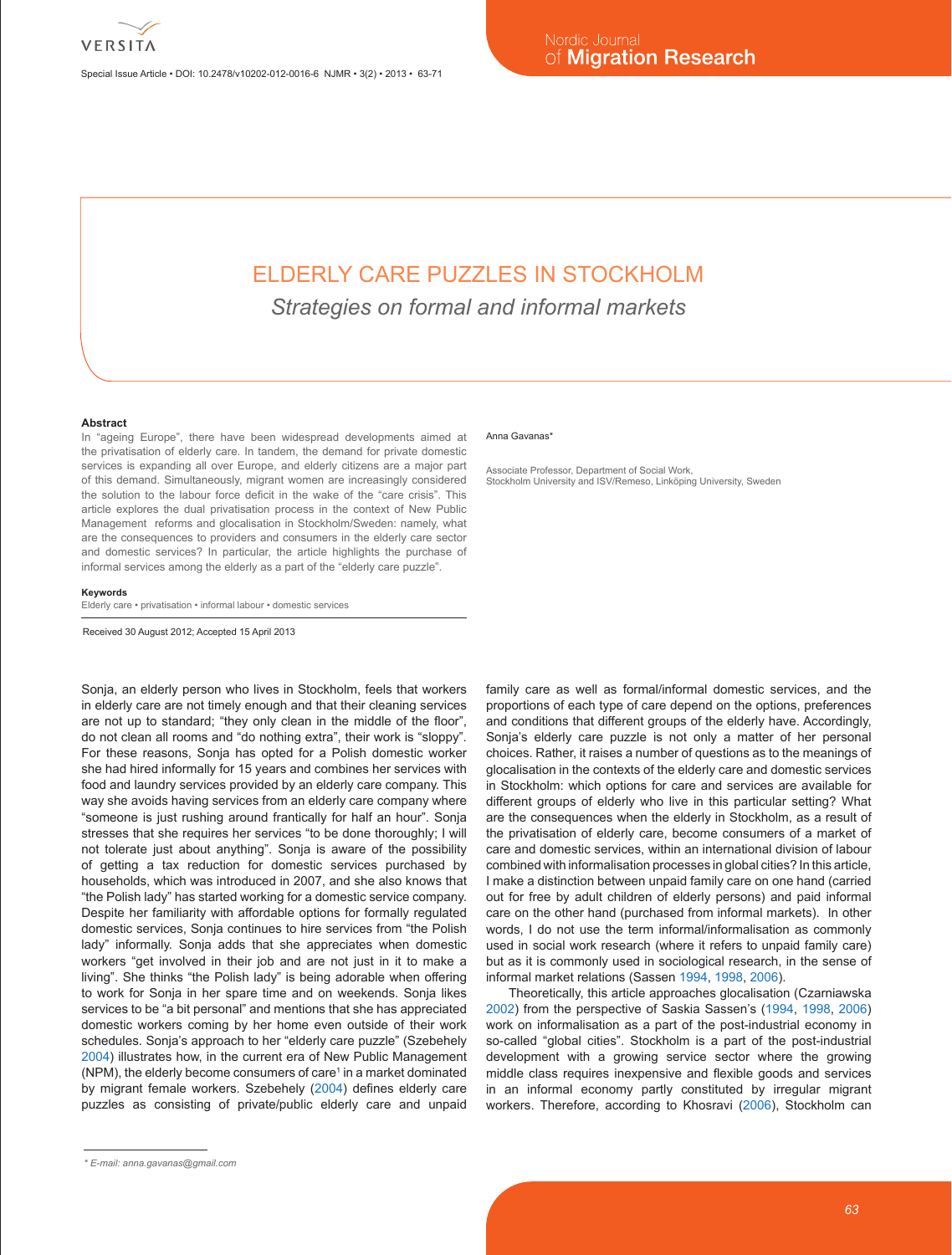Special Issue Article • DOI: 10.2478/v10202-012-0016-6 NJMR • 3(2) • 2013 • 63-71

# ELDERLY CARE PUZZLES IN STOCKHOLM

*Strategies on formal and informal markets*

#### **Abstract**

In "ageing Europe", there have been widespread developments aimed at the privatisation of elderly care. In tandem, the demand for private domestic services is expanding all over Europe, and elderly citizens are a major part of this demand. Simultaneously, migrant women are increasingly considered the solution to the labour force deficit in the wake of the "care crisis". This article explores the dual privatisation process in the context of New Public Management reforms and glocalisation in Stockholm/Sweden: namely, what are the consequences to providers and consumers in the elderly care sector and domestic services? In particular, the article highlights the purchase of informal services among the elderly as a part of the "elderly care puzzle".

#### **Keywords**

Elderly care • privatisation • informal labour • domestic services

Received 30 August 2012; Accepted 15 April 2013

Sonja, an elderly person who lives in Stockholm, feels that workers in elderly care are not timely enough and that their cleaning services are not up to standard; "they only clean in the middle of the floor", do not clean all rooms and "do nothing extra", their work is "sloppy". For these reasons, Sonja has opted for a Polish domestic worker she had hired informally for 15 years and combines her services with food and laundry services provided by an elderly care company. This way she avoids having services from an elderly care company where "someone is just rushing around frantically for half an hour". Sonja stresses that she requires her services "to be done thoroughly; I will not tolerate just about anything". Sonja is aware of the possibility of getting a tax reduction for domestic services purchased by households, which was introduced in 2007, and she also knows that "the Polish lady" has started working for a domestic service company. Despite her familiarity with affordable options for formally regulated domestic services, Sonja continues to hire services from "the Polish lady" informally. Sonja adds that she appreciates when domestic workers "get involved in their job and are not just in it to make a living". She thinks "the Polish lady" is being adorable when offering to work for Sonja in her spare time and on weekends. Sonja likes services to be "a bit personal" and mentions that she has appreciated domestic workers coming by her home even outside of their work schedules. Sonja's approach to her "elderly care puzzle" (Szebehely 2004) illustrates how, in the current era of New Public Management (NPM), the elderly become consumers of care<sup>1</sup> in a market dominated by migrant female workers. Szebehely (2004) defines elderly care puzzles as consisting of private/public elderly care and unpaid

#### *\* E-mail: anna.gavanas@gmail.com*

#### Anna Gavanas<sup>\*</sup>

Associate Professor, Department of Social Work, Stockholm University and ISV/Remeso, Linköping University, Sweden

family care as well as formal/informal domestic services, and the proportions of each type of care depend on the options, preferences and conditions that different groups of the elderly have. Accordingly, Sonja's elderly care puzzle is not only a matter of her personal choices. Rather, it raises a number of questions as to the meanings of glocalisation in the contexts of the elderly care and domestic services in Stockholm: which options for care and services are available for different groups of elderly who live in this particular setting? What are the consequences when the elderly in Stockholm, as a result of the privatisation of elderly care, become consumers of a market of care and domestic services, within an international division of labour combined with informalisation processes in global cities? In this article, I make a distinction between unpaid family care on one hand (carried out for free by adult children of elderly persons) and paid informal care on the other hand (purchased from informal markets). In other words, I do not use the term informal/informalisation as commonly used in social work research (where it refers to unpaid family care) but as it is commonly used in sociological research, in the sense of informal market relations (Sassen 1994, 1998, 2006).

Theoretically, this article approaches glocalisation (Czarniawska 2002) from the perspective of Saskia Sassen's (1994, 1998, 2006) work on informalisation as a part of the post-industrial economy in so-called "global cities". Stockholm is a part of the post-industrial development with a growing service sector where the growing middle class requires inexpensive and flexible goods and services in an informal economy partly constituted by irregular migrant workers. Therefore, according to Khosravi (2006), Stockholm can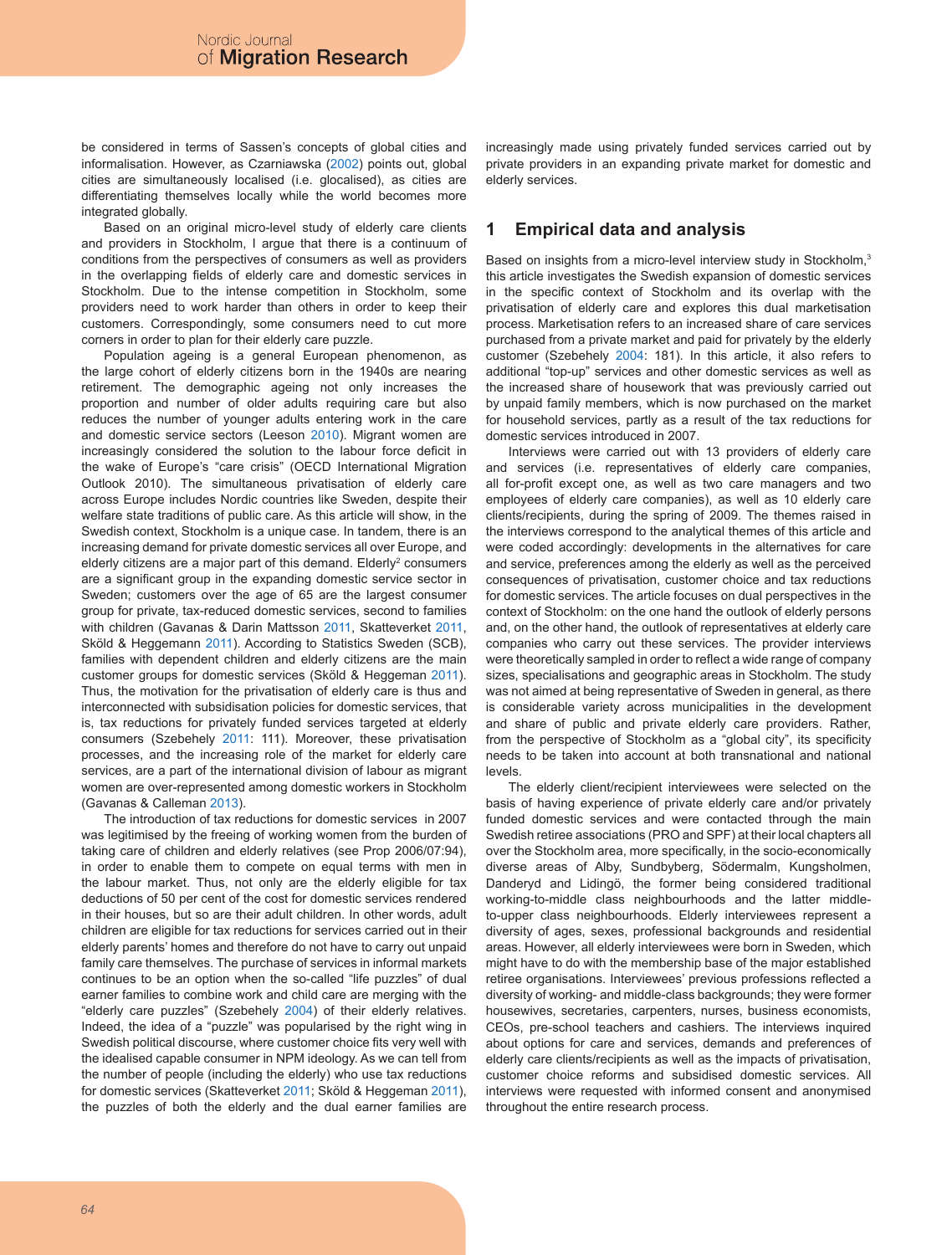be considered in terms of Sassen's concepts of global cities and informalisation. However, as Czarniawska (2002) points out, global cities are simultaneously localised (i.e. glocalised), as cities are differentiating themselves locally while the world becomes more integrated globally.

Based on an original micro-level study of elderly care clients and providers in Stockholm, I argue that there is a continuum of conditions from the perspectives of consumers as well as providers in the overlapping fields of elderly care and domestic services in Stockholm. Due to the intense competition in Stockholm, some providers need to work harder than others in order to keep their customers. Correspondingly, some consumers need to cut more corners in order to plan for their elderly care puzzle.

Population ageing is a general European phenomenon, as the large cohort of elderly citizens born in the 1940s are nearing retirement. The demographic ageing not only increases the proportion and number of older adults requiring care but also reduces the number of younger adults entering work in the care and domestic service sectors (Leeson 2010). Migrant women are increasingly considered the solution to the labour force deficit in the wake of Europe's "care crisis" (OECD International Migration Outlook 2010). The simultaneous privatisation of elderly care across Europe includes Nordic countries like Sweden, despite their welfare state traditions of public care. As this article will show, in the Swedish context, Stockholm is a unique case. In tandem, there is an increasing demand for private domestic services all over Europe, and elderly citizens are a major part of this demand. Elderly<sup>2</sup> consumers are a significant group in the expanding domestic service sector in Sweden; customers over the age of 65 are the largest consumer group for private, tax-reduced domestic services, second to families with children (Gavanas & Darin Mattsson 2011, Skatteverket 2011, Sköld & Heggemann 2011). According to Statistics Sweden (SCB), families with dependent children and elderly citizens are the main customer groups for domestic services (Sköld & Heggeman 2011). Thus, the motivation for the privatisation of elderly care is thus and interconnected with subsidisation policies for domestic services, that is, tax reductions for privately funded services targeted at elderly consumers (Szebehely 2011: 111). Moreover, these privatisation processes, and the increasing role of the market for elderly care services, are a part of the international division of labour as migrant women are over-represented among domestic workers in Stockholm (Gavanas & Calleman 2013).

The introduction of tax reductions for domestic services in 2007 was legitimised by the freeing of working women from the burden of taking care of children and elderly relatives (see Prop 2006/07:94), in order to enable them to compete on equal terms with men in the labour market. Thus, not only are the elderly eligible for tax deductions of 50 per cent of the cost for domestic services rendered in their houses, but so are their adult children. In other words, adult children are eligible for tax reductions for services carried out in their elderly parents' homes and therefore do not have to carry out unpaid family care themselves. The purchase of services in informal markets continues to be an option when the so-called "life puzzles" of dual earner families to combine work and child care are merging with the "elderly care puzzles" (Szebehely 2004) of their elderly relatives. Indeed, the idea of a "puzzle" was popularised by the right wing in Swedish political discourse, where customer choice fits very well with the idealised capable consumer in NPM ideology. As we can tell from the number of people (including the elderly) who use tax reductions for domestic services (Skatteverket 2011; Sköld & Heggeman 2011), the puzzles of both the elderly and the dual earner families are

increasingly made using privately funded services carried out by private providers in an expanding private market for domestic and elderly services.

### **1 Empirical data and analysis**

Based on insights from a micro-level interview study in Stockholm,<sup>3</sup> this article investigates the Swedish expansion of domestic services in the specific context of Stockholm and its overlap with the privatisation of elderly care and explores this dual marketisation process. Marketisation refers to an increased share of care services purchased from a private market and paid for privately by the elderly customer (Szebehely 2004: 181). In this article, it also refers to additional "top-up" services and other domestic services as well as the increased share of housework that was previously carried out by unpaid family members, which is now purchased on the market for household services, partly as a result of the tax reductions for domestic services introduced in 2007.

Interviews were carried out with 13 providers of elderly care and services (i.e. representatives of elderly care companies, all for-profit except one, as well as two care managers and two employees of elderly care companies), as well as 10 elderly care clients/recipients, during the spring of 2009. The themes raised in the interviews correspond to the analytical themes of this article and were coded accordingly: developments in the alternatives for care and service, preferences among the elderly as well as the perceived consequences of privatisation, customer choice and tax reductions for domestic services. The article focuses on dual perspectives in the context of Stockholm: on the one hand the outlook of elderly persons and, on the other hand, the outlook of representatives at elderly care companies who carry out these services. The provider interviews were theoretically sampled in order to reflect a wide range of company sizes, specialisations and geographic areas in Stockholm. The study was not aimed at being representative of Sweden in general, as there is considerable variety across municipalities in the development and share of public and private elderly care providers. Rather, from the perspective of Stockholm as a "global city", its specificity needs to be taken into account at both transnational and national levels.

The elderly client/recipient interviewees were selected on the basis of having experience of private elderly care and/or privately funded domestic services and were contacted through the main Swedish retiree associations (PRO and SPF) at their local chapters all over the Stockholm area, more specifically, in the socio-economically diverse areas of Alby, Sundbyberg, Södermalm, Kungsholmen, Danderyd and Lidingö, the former being considered traditional working-to-middle class neighbourhoods and the latter middleto-upper class neighbourhoods. Elderly interviewees represent a diversity of ages, sexes, professional backgrounds and residential areas. However, all elderly interviewees were born in Sweden, which might have to do with the membership base of the major established retiree organisations. Interviewees' previous professions reflected a diversity of working- and middle-class backgrounds; they were former housewives, secretaries, carpenters, nurses, business economists, CEOs, pre-school teachers and cashiers. The interviews inquired about options for care and services, demands and preferences of elderly care clients/recipients as well as the impacts of privatisation, customer choice reforms and subsidised domestic services. All interviews were requested with informed consent and anonymised throughout the entire research process.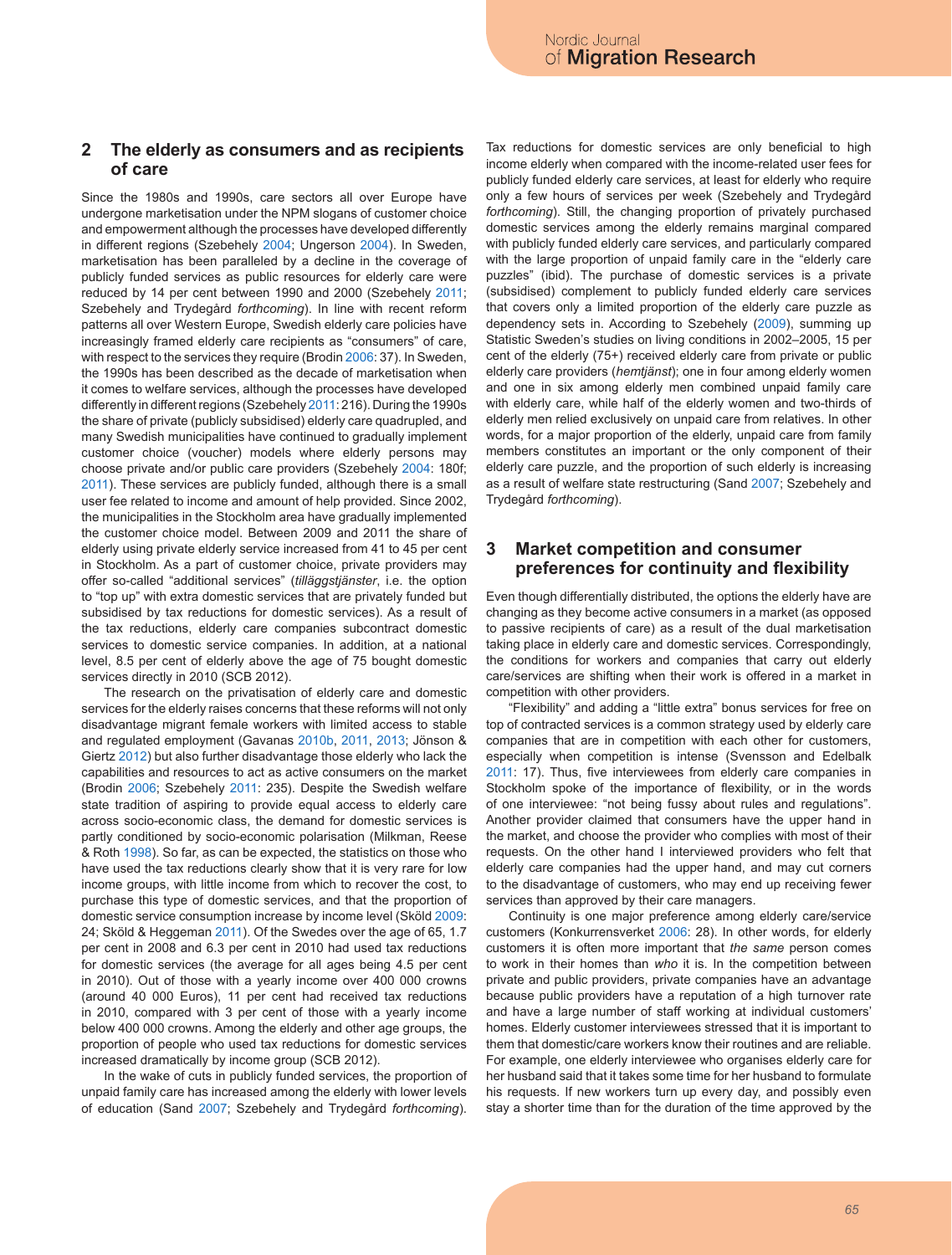### **2 The elderly as consumers and as recipients of care**

Since the 1980s and 1990s, care sectors all over Europe have undergone marketisation under the NPM slogans of customer choice and empowerment although the processes have developed differently in different regions (Szebehely 2004; Ungerson 2004). In Sweden, marketisation has been paralleled by a decline in the coverage of publicly funded services as public resources for elderly care were reduced by 14 per cent between 1990 and 2000 (Szebehely 2011; Szebehely and Trydegård *forthcoming*). In line with recent reform patterns all over Western Europe, Swedish elderly care policies have increasingly framed elderly care recipients as "consumers" of care, with respect to the services they require (Brodin 2006: 37). In Sweden, the 1990s has been described as the decade of marketisation when it comes to welfare services, although the processes have developed differently in different regions (Szebehely 2011: 216). During the 1990s the share of private (publicly subsidised) elderly care quadrupled, and many Swedish municipalities have continued to gradually implement customer choice (voucher) models where elderly persons may choose private and/or public care providers (Szebehely 2004: 180f; 2011). These services are publicly funded, although there is a small user fee related to income and amount of help provided. Since 2002, the municipalities in the Stockholm area have gradually implemented the customer choice model. Between 2009 and 2011 the share of elderly using private elderly service increased from 41 to 45 per cent in Stockholm. As a part of customer choice, private providers may offer so-called "additional services" (*tilläggstjänster*, i.e. the option to "top up" with extra domestic services that are privately funded but subsidised by tax reductions for domestic services). As a result of the tax reductions, elderly care companies subcontract domestic services to domestic service companies. In addition, at a national level, 8.5 per cent of elderly above the age of 75 bought domestic services directly in 2010 (SCB 2012).

The research on the privatisation of elderly care and domestic services for the elderly raises concerns that these reforms will not only disadvantage migrant female workers with limited access to stable and regulated employment (Gavanas 2010b, 2011, 2013; Jönson & Giertz 2012) but also further disadvantage those elderly who lack the capabilities and resources to act as active consumers on the market (Brodin 2006; Szebehely 2011: 235). Despite the Swedish welfare state tradition of aspiring to provide equal access to elderly care across socio-economic class, the demand for domestic services is partly conditioned by socio-economic polarisation (Milkman, Reese & Roth 1998). So far, as can be expected, the statistics on those who have used the tax reductions clearly show that it is very rare for low income groups, with little income from which to recover the cost, to purchase this type of domestic services, and that the proportion of domestic service consumption increase by income level (Sköld 2009: 24; Sköld & Heggeman 2011). Of the Swedes over the age of 65, 1.7 per cent in 2008 and 6.3 per cent in 2010 had used tax reductions for domestic services (the average for all ages being 4.5 per cent in 2010). Out of those with a yearly income over 400 000 crowns (around 40 000 Euros), 11 per cent had received tax reductions in 2010, compared with 3 per cent of those with a yearly income below 400 000 crowns. Among the elderly and other age groups, the proportion of people who used tax reductions for domestic services increased dramatically by income group (SCB 2012).

In the wake of cuts in publicly funded services, the proportion of unpaid family care has increased among the elderly with lower levels of education (Sand 2007; Szebehely and Trydegård *forthcoming*).

Tax reductions for domestic services are only beneficial to high income elderly when compared with the income-related user fees for publicly funded elderly care services, at least for elderly who require only a few hours of services per week (Szebehely and Trydegård *forthcoming*). Still, the changing proportion of privately purchased domestic services among the elderly remains marginal compared with publicly funded elderly care services, and particularly compared with the large proportion of unpaid family care in the "elderly care puzzles" (ibid). The purchase of domestic services is a private (subsidised) complement to publicly funded elderly care services that covers only a limited proportion of the elderly care puzzle as dependency sets in. According to Szebehely (2009), summing up Statistic Sweden's studies on living conditions in 2002–2005, 15 per cent of the elderly (75+) received elderly care from private or public elderly care providers (*hemtjänst*); one in four among elderly women and one in six among elderly men combined unpaid family care with elderly care, while half of the elderly women and two-thirds of elderly men relied exclusively on unpaid care from relatives. In other words, for a major proportion of the elderly, unpaid care from family members constitutes an important or the only component of their elderly care puzzle, and the proportion of such elderly is increasing as a result of welfare state restructuring (Sand 2007; Szebehely and Trydegård *forthcoming*).

#### **3 Market competition and consumer preferences for continuity and flexibility**

Even though differentially distributed, the options the elderly have are changing as they become active consumers in a market (as opposed to passive recipients of care) as a result of the dual marketisation taking place in elderly care and domestic services. Correspondingly, the conditions for workers and companies that carry out elderly care/services are shifting when their work is offered in a market in competition with other providers.

"Flexibility" and adding a "little extra" bonus services for free on top of contracted services is a common strategy used by elderly care companies that are in competition with each other for customers, especially when competition is intense (Svensson and Edelbalk 2011: 17). Thus, five interviewees from elderly care companies in Stockholm spoke of the importance of flexibility, or in the words of one interviewee: "not being fussy about rules and regulations". Another provider claimed that consumers have the upper hand in the market, and choose the provider who complies with most of their requests. On the other hand I interviewed providers who felt that elderly care companies had the upper hand, and may cut corners to the disadvantage of customers, who may end up receiving fewer services than approved by their care managers.

Continuity is one major preference among elderly care/service customers (Konkurrensverket 2006: 28). In other words, for elderly customers it is often more important that *the same* person comes to work in their homes than *who* it is. In the competition between private and public providers, private companies have an advantage because public providers have a reputation of a high turnover rate and have a large number of staff working at individual customers' homes. Elderly customer interviewees stressed that it is important to them that domestic/care workers know their routines and are reliable. For example, one elderly interviewee who organises elderly care for her husband said that it takes some time for her husband to formulate his requests. If new workers turn up every day, and possibly even stay a shorter time than for the duration of the time approved by the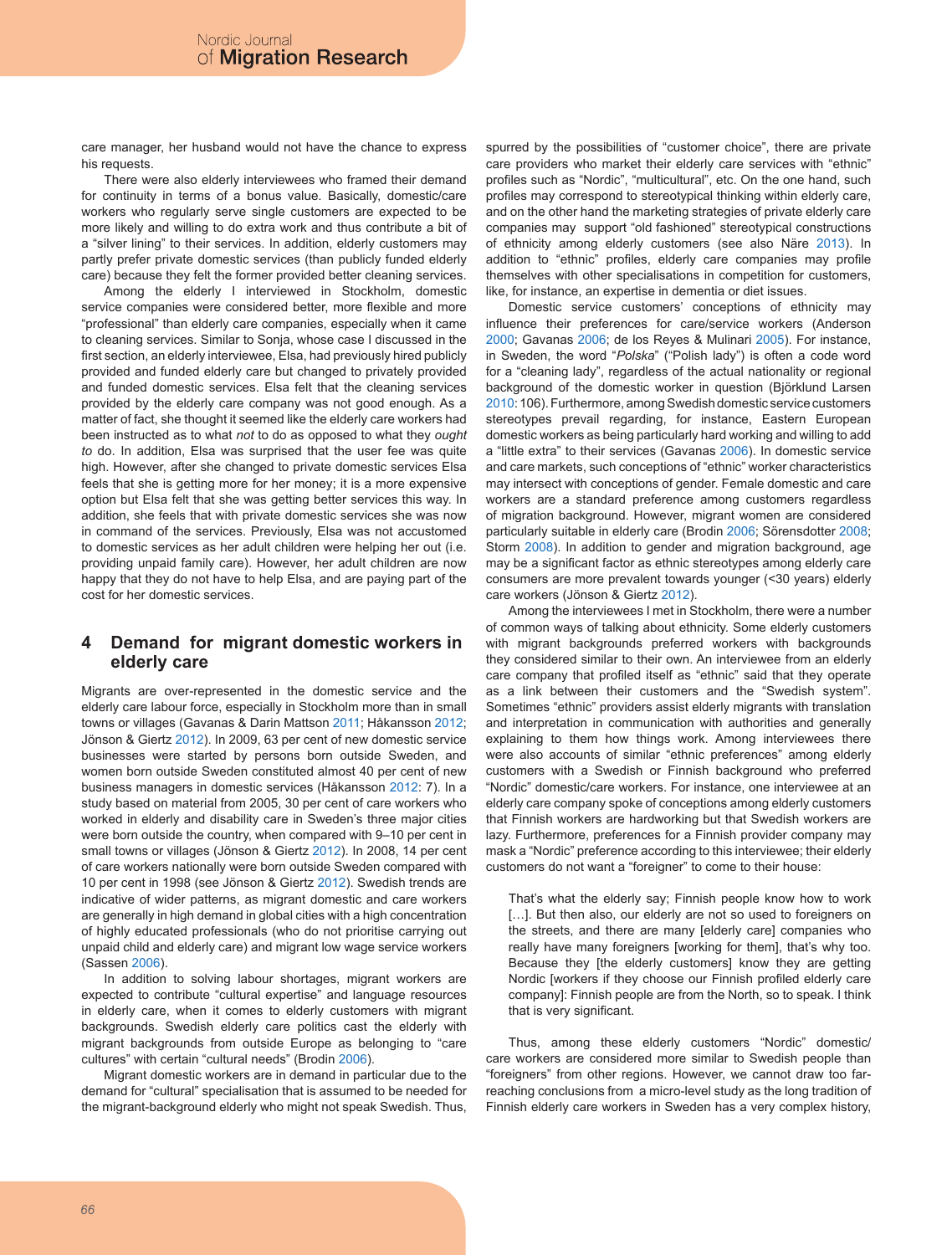care manager, her husband would not have the chance to express his requests.

There were also elderly interviewees who framed their demand for continuity in terms of a bonus value. Basically, domestic/care workers who regularly serve single customers are expected to be more likely and willing to do extra work and thus contribute a bit of a "silver lining" to their services. In addition, elderly customers may partly prefer private domestic services (than publicly funded elderly care) because they felt the former provided better cleaning services.

Among the elderly I interviewed in Stockholm, domestic service companies were considered better, more flexible and more "professional" than elderly care companies, especially when it came to cleaning services. Similar to Sonja, whose case I discussed in the first section, an elderly interviewee, Elsa, had previously hired publicly provided and funded elderly care but changed to privately provided and funded domestic services. Elsa felt that the cleaning services provided by the elderly care company was not good enough. As a matter of fact, she thought it seemed like the elderly care workers had been instructed as to what *not* to do as opposed to what they *ought to* do. In addition, Elsa was surprised that the user fee was quite high. However, after she changed to private domestic services Elsa feels that she is getting more for her money; it is a more expensive option but Elsa felt that she was getting better services this way. In addition, she feels that with private domestic services she was now in command of the services. Previously, Elsa was not accustomed to domestic services as her adult children were helping her out (i.e. providing unpaid family care). However, her adult children are now happy that they do not have to help Elsa, and are paying part of the cost for her domestic services.

### **4 Demand for migrant domestic workers in elderly care**

Migrants are over-represented in the domestic service and the elderly care labour force, especially in Stockholm more than in small towns or villages (Gavanas & Darin Mattson 2011; Håkansson 2012; Jönson & Giertz 2012). In 2009, 63 per cent of new domestic service businesses were started by persons born outside Sweden, and women born outside Sweden constituted almost 40 per cent of new business managers in domestic services (Håkansson 2012: 7). In a study based on material from 2005, 30 per cent of care workers who worked in elderly and disability care in Sweden's three major cities were born outside the country, when compared with 9–10 per cent in small towns or villages (Jönson & Giertz 2012). In 2008, 14 per cent of care workers nationally were born outside Sweden compared with 10 per cent in 1998 (see Jönson & Giertz 2012). Swedish trends are indicative of wider patterns, as migrant domestic and care workers are generally in high demand in global cities with a high concentration of highly educated professionals (who do not prioritise carrying out unpaid child and elderly care) and migrant low wage service workers (Sassen 2006).

In addition to solving labour shortages, migrant workers are expected to contribute "cultural expertise" and language resources in elderly care, when it comes to elderly customers with migrant backgrounds. Swedish elderly care politics cast the elderly with migrant backgrounds from outside Europe as belonging to "care cultures" with certain "cultural needs" (Brodin 2006).

Migrant domestic workers are in demand in particular due to the demand for "cultural" specialisation that is assumed to be needed for the migrant-background elderly who might not speak Swedish. Thus, spurred by the possibilities of "customer choice", there are private care providers who market their elderly care services with "ethnic" profiles such as "Nordic", "multicultural", etc. On the one hand, such profiles may correspond to stereotypical thinking within elderly care, and on the other hand the marketing strategies of private elderly care companies may support "old fashioned" stereotypical constructions of ethnicity among elderly customers (see also Näre 2013). In addition to "ethnic" profiles, elderly care companies may profile themselves with other specialisations in competition for customers, like, for instance, an expertise in dementia or diet issues.

Domestic service customers' conceptions of ethnicity may influence their preferences for care/service workers (Anderson 2000; Gavanas 2006; de los Reyes & Mulinari 2005). For instance, in Sweden, the word "*Polska*" ("Polish lady") is often a code word for a "cleaning lady", regardless of the actual nationality or regional background of the domestic worker in question (Björklund Larsen 2010: 106). Furthermore, among Swedish domestic service customers stereotypes prevail regarding, for instance, Eastern European domestic workers as being particularly hard working and willing to add a "little extra" to their services (Gavanas 2006). In domestic service and care markets, such conceptions of "ethnic" worker characteristics may intersect with conceptions of gender. Female domestic and care workers are a standard preference among customers regardless of migration background. However, migrant women are considered particularly suitable in elderly care (Brodin 2006; Sörensdotter 2008; Storm 2008). In addition to gender and migration background, age may be a significant factor as ethnic stereotypes among elderly care consumers are more prevalent towards younger (<30 years) elderly care workers (Jönson & Giertz 2012).

Among the interviewees I met in Stockholm, there were a number of common ways of talking about ethnicity. Some elderly customers with migrant backgrounds preferred workers with backgrounds they considered similar to their own. An interviewee from an elderly care company that profiled itself as "ethnic" said that they operate as a link between their customers and the "Swedish system". Sometimes "ethnic" providers assist elderly migrants with translation and interpretation in communication with authorities and generally explaining to them how things work. Among interviewees there were also accounts of similar "ethnic preferences" among elderly customers with a Swedish or Finnish background who preferred "Nordic" domestic/care workers. For instance, one interviewee at an elderly care company spoke of conceptions among elderly customers that Finnish workers are hardworking but that Swedish workers are lazy. Furthermore, preferences for a Finnish provider company may mask a "Nordic" preference according to this interviewee; their elderly customers do not want a "foreigner" to come to their house:

That's what the elderly say; Finnish people know how to work [...]. But then also, our elderly are not so used to foreigners on the streets, and there are many [elderly care] companies who really have many foreigners [working for them], that's why too. Because they [the elderly customers] know they are getting Nordic [workers if they choose our Finnish profiled elderly care company]: Finnish people are from the North, so to speak. I think that is very significant.

Thus, among these elderly customers "Nordic" domestic/ care workers are considered more similar to Swedish people than "foreigners" from other regions. However, we cannot draw too farreaching conclusions from a micro-level study as the long tradition of Finnish elderly care workers in Sweden has a very complex history,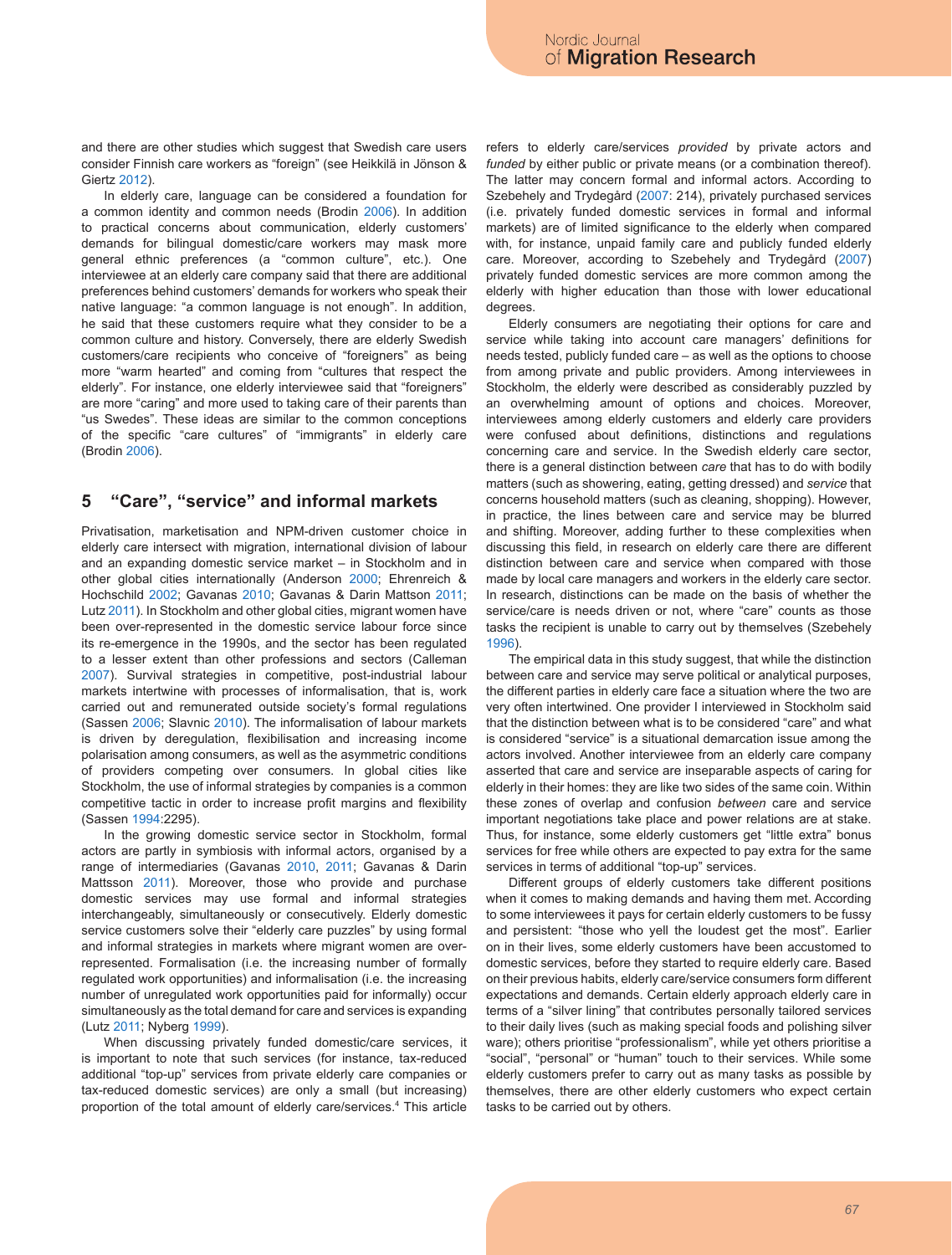and there are other studies which suggest that Swedish care users consider Finnish care workers as "foreign" (see Heikkilä in Jönson & Giertz 2012).

In elderly care, language can be considered a foundation for a common identity and common needs (Brodin 2006). In addition to practical concerns about communication, elderly customers' demands for bilingual domestic/care workers may mask more general ethnic preferences (a "common culture", etc.). One interviewee at an elderly care company said that there are additional preferences behind customers' demands for workers who speak their native language: "a common language is not enough". In addition, he said that these customers require what they consider to be a common culture and history. Conversely, there are elderly Swedish customers/care recipients who conceive of "foreigners" as being more "warm hearted" and coming from "cultures that respect the elderly". For instance, one elderly interviewee said that "foreigners" are more "caring" and more used to taking care of their parents than "us Swedes". These ideas are similar to the common conceptions of the specific "care cultures" of "immigrants" in elderly care (Brodin 2006).

### **5 "Care", "service" and informal markets**

Privatisation, marketisation and NPM-driven customer choice in elderly care intersect with migration, international division of labour and an expanding domestic service market – in Stockholm and in other global cities internationally (Anderson 2000; Ehrenreich & Hochschild 2002; Gavanas 2010; Gavanas & Darin Mattson 2011; Lutz 2011). In Stockholm and other global cities, migrant women have been over-represented in the domestic service labour force since its re-emergence in the 1990s, and the sector has been regulated to a lesser extent than other professions and sectors (Calleman 2007). Survival strategies in competitive, post-industrial labour markets intertwine with processes of informalisation, that is, work carried out and remunerated outside society's formal regulations (Sassen 2006; Slavnic 2010). The informalisation of labour markets is driven by deregulation, flexibilisation and increasing income polarisation among consumers, as well as the asymmetric conditions of providers competing over consumers. In global cities like Stockholm, the use of informal strategies by companies is a common competitive tactic in order to increase profit margins and flexibility (Sassen 1994:2295).

In the growing domestic service sector in Stockholm, formal actors are partly in symbiosis with informal actors, organised by a range of intermediaries (Gavanas 2010, 2011; Gavanas & Darin Mattsson 2011). Moreover, those who provide and purchase domestic services may use formal and informal strategies interchangeably, simultaneously or consecutively. Elderly domestic service customers solve their "elderly care puzzles" by using formal and informal strategies in markets where migrant women are overrepresented. Formalisation (i.e. the increasing number of formally regulated work opportunities) and informalisation (i.e. the increasing number of unregulated work opportunities paid for informally) occur simultaneously as the total demand for care and services is expanding (Lutz 2011; Nyberg 1999).

When discussing privately funded domestic/care services, it is important to note that such services (for instance, tax-reduced additional "top-up" services from private elderly care companies or tax-reduced domestic services) are only a small (but increasing) proportion of the total amount of elderly care/services.4 This article refers to elderly care/services *provided* by private actors and *funded* by either public or private means (or a combination thereof). The latter may concern formal and informal actors. According to Szebehely and Trydegård (2007: 214), privately purchased services (i.e. privately funded domestic services in formal and informal markets) are of limited significance to the elderly when compared with, for instance, unpaid family care and publicly funded elderly care. Moreover, according to Szebehely and Trydegård (2007) privately funded domestic services are more common among the elderly with higher education than those with lower educational degrees.

Elderly consumers are negotiating their options for care and service while taking into account care managers' definitions for needs tested, publicly funded care – as well as the options to choose from among private and public providers. Among interviewees in Stockholm, the elderly were described as considerably puzzled by an overwhelming amount of options and choices. Moreover, interviewees among elderly customers and elderly care providers were confused about definitions, distinctions and regulations concerning care and service. In the Swedish elderly care sector, there is a general distinction between *care* that has to do with bodily matters (such as showering, eating, getting dressed) and *service* that concerns household matters (such as cleaning, shopping). However, in practice, the lines between care and service may be blurred and shifting. Moreover, adding further to these complexities when discussing this field, in research on elderly care there are different distinction between care and service when compared with those made by local care managers and workers in the elderly care sector. In research, distinctions can be made on the basis of whether the service/care is needs driven or not, where "care" counts as those tasks the recipient is unable to carry out by themselves (Szebehely 1996).

The empirical data in this study suggest, that while the distinction between care and service may serve political or analytical purposes, the different parties in elderly care face a situation where the two are very often intertwined. One provider I interviewed in Stockholm said that the distinction between what is to be considered "care" and what is considered "service" is a situational demarcation issue among the actors involved. Another interviewee from an elderly care company asserted that care and service are inseparable aspects of caring for elderly in their homes: they are like two sides of the same coin. Within these zones of overlap and confusion *between* care and service important negotiations take place and power relations are at stake. Thus, for instance, some elderly customers get "little extra" bonus services for free while others are expected to pay extra for the same services in terms of additional "top-up" services.

Different groups of elderly customers take different positions when it comes to making demands and having them met. According to some interviewees it pays for certain elderly customers to be fussy and persistent: "those who yell the loudest get the most". Earlier on in their lives, some elderly customers have been accustomed to domestic services, before they started to require elderly care. Based on their previous habits, elderly care/service consumers form different expectations and demands. Certain elderly approach elderly care in terms of a "silver lining" that contributes personally tailored services to their daily lives (such as making special foods and polishing silver ware); others prioritise "professionalism", while yet others prioritise a "social", "personal" or "human" touch to their services. While some elderly customers prefer to carry out as many tasks as possible by themselves, there are other elderly customers who expect certain tasks to be carried out by others.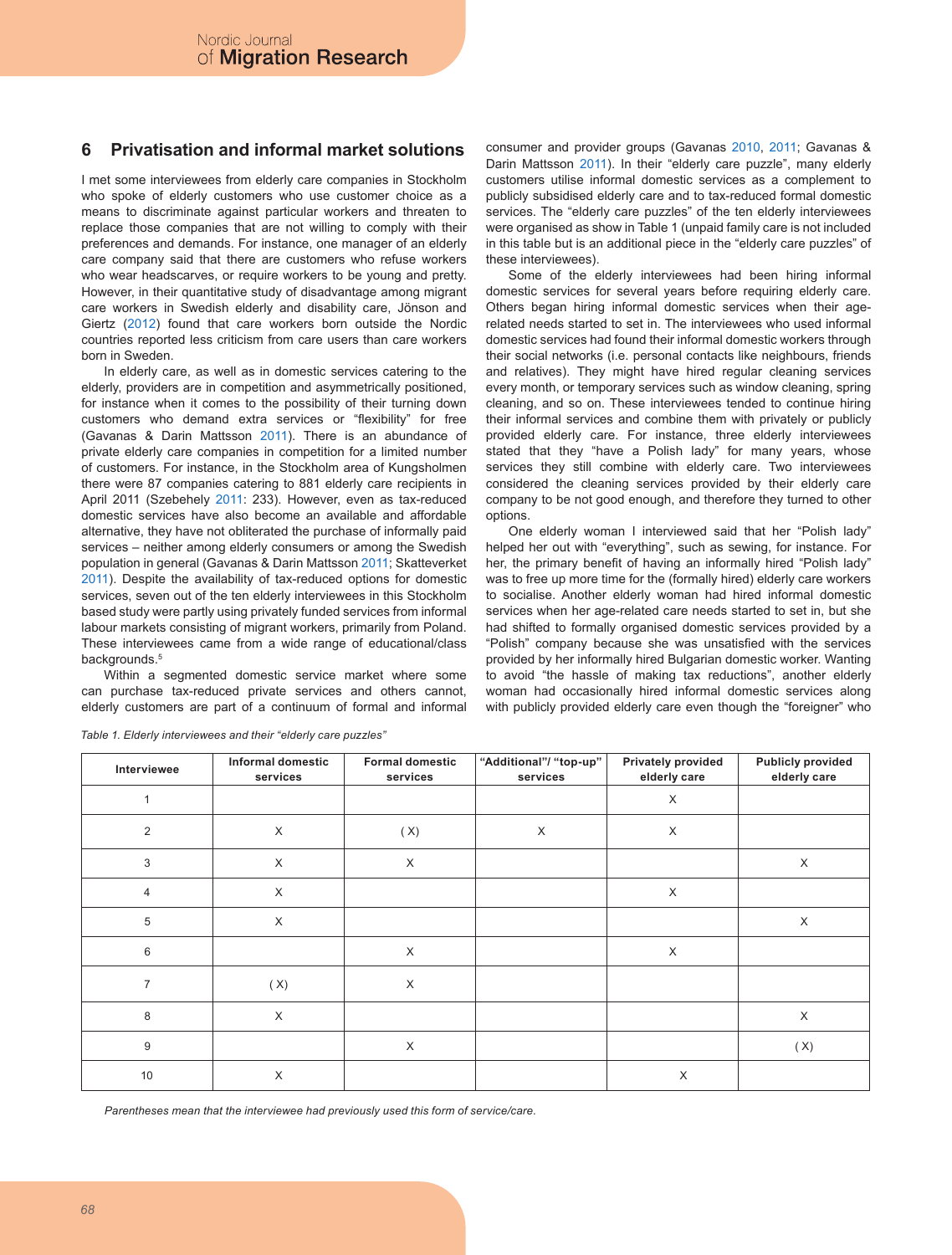### **6 Privatisation and informal market solutions**

I met some interviewees from elderly care companies in Stockholm who spoke of elderly customers who use customer choice as a means to discriminate against particular workers and threaten to replace those companies that are not willing to comply with their preferences and demands. For instance, one manager of an elderly care company said that there are customers who refuse workers who wear headscarves, or require workers to be young and pretty. However, in their quantitative study of disadvantage among migrant care workers in Swedish elderly and disability care, Jönson and Giertz (2012) found that care workers born outside the Nordic countries reported less criticism from care users than care workers born in Sweden.

In elderly care, as well as in domestic services catering to the elderly, providers are in competition and asymmetrically positioned, for instance when it comes to the possibility of their turning down customers who demand extra services or "flexibility" for free (Gavanas & Darin Mattsson 2011). There is an abundance of private elderly care companies in competition for a limited number of customers. For instance, in the Stockholm area of Kungsholmen there were 87 companies catering to 881 elderly care recipients in April 2011 (Szebehely 2011: 233). However, even as tax-reduced domestic services have also become an available and affordable alternative, they have not obliterated the purchase of informally paid services – neither among elderly consumers or among the Swedish population in general (Gavanas & Darin Mattsson 2011; Skatteverket 2011). Despite the availability of tax-reduced options for domestic services, seven out of the ten elderly interviewees in this Stockholm based study were partly using privately funded services from informal labour markets consisting of migrant workers, primarily from Poland. These interviewees came from a wide range of educational/class backgrounds.<sup>5</sup>

Within a segmented domestic service market where some can purchase tax-reduced private services and others cannot, elderly customers are part of a continuum of formal and informal consumer and provider groups (Gavanas 2010, 2011; Gavanas & Darin Mattsson 2011). In their "elderly care puzzle", many elderly customers utilise informal domestic services as a complement to publicly subsidised elderly care and to tax-reduced formal domestic services. The "elderly care puzzles" of the ten elderly interviewees were organised as show in Table 1 (unpaid family care is not included in this table but is an additional piece in the "elderly care puzzles" of these interviewees).

Some of the elderly interviewees had been hiring informal domestic services for several years before requiring elderly care. Others began hiring informal domestic services when their agerelated needs started to set in. The interviewees who used informal domestic services had found their informal domestic workers through their social networks (i.e. personal contacts like neighbours, friends and relatives). They might have hired regular cleaning services every month, or temporary services such as window cleaning, spring cleaning, and so on. These interviewees tended to continue hiring their informal services and combine them with privately or publicly provided elderly care. For instance, three elderly interviewees stated that they "have a Polish lady" for many years, whose services they still combine with elderly care. Two interviewees considered the cleaning services provided by their elderly care company to be not good enough, and therefore they turned to other options.

One elderly woman I interviewed said that her "Polish lady" helped her out with "everything", such as sewing, for instance. For her, the primary benefit of having an informally hired "Polish lady" was to free up more time for the (formally hired) elderly care workers to socialise. Another elderly woman had hired informal domestic services when her age-related care needs started to set in, but she had shifted to formally organised domestic services provided by a "Polish" company because she was unsatisfied with the services provided by her informally hired Bulgarian domestic worker. Wanting to avoid "the hassle of making tax reductions", another elderly woman had occasionally hired informal domestic services along with publicly provided elderly care even though the "foreigner" who

| Interviewee    | Informal domestic<br>services | <b>Formal domestic</b><br>services | "Additional"/ "top-up"<br>services | Privately provided<br>elderly care | <b>Publicly provided</b><br>elderly care |
|----------------|-------------------------------|------------------------------------|------------------------------------|------------------------------------|------------------------------------------|
|                |                               |                                    |                                    | X                                  |                                          |
| $\overline{2}$ | $\times$                      | (X)                                | X                                  | X                                  |                                          |
| 3              | $\times$                      | X                                  |                                    |                                    | X                                        |
| 4              | $\times$                      |                                    |                                    | X                                  |                                          |
| 5              | $\times$                      |                                    |                                    |                                    | X                                        |
| 6              |                               | X                                  |                                    | X                                  |                                          |
| $\overline{7}$ | (X)                           | X                                  |                                    |                                    |                                          |
| 8              | $\times$                      |                                    |                                    |                                    | X                                        |
| 9              |                               | X                                  |                                    |                                    | (X)                                      |
| 10             | X                             |                                    |                                    | X                                  |                                          |

*Table 1. Elderly interviewees and their "elderly care puzzles"*

*Parentheses mean that the interviewee had previously used this form of service/care.*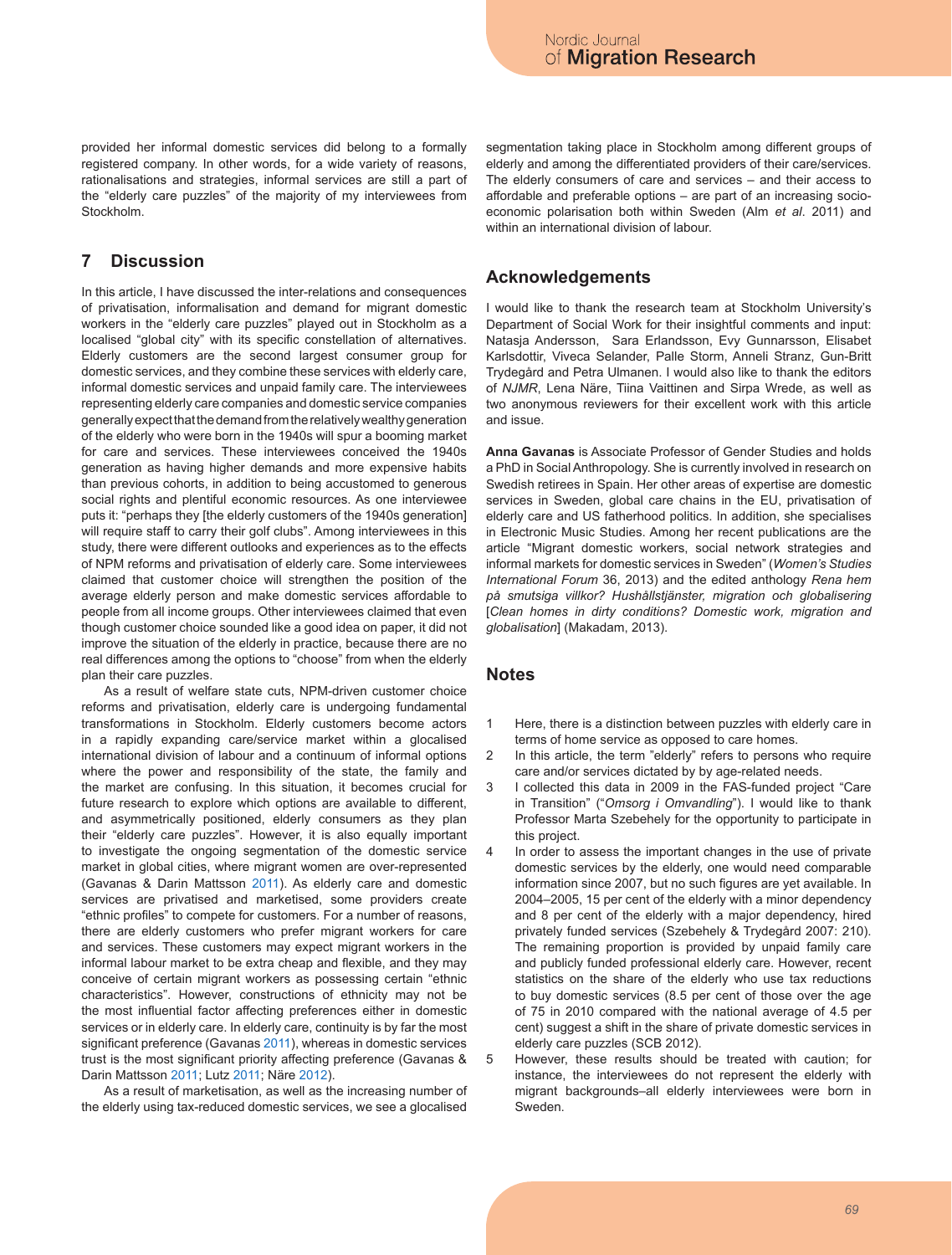provided her informal domestic services did belong to a formally registered company. In other words, for a wide variety of reasons, rationalisations and strategies, informal services are still a part of the "elderly care puzzles" of the majority of my interviewees from **Stockholm** 

## **7 Discussion**

In this article, I have discussed the inter-relations and consequences of privatisation, informalisation and demand for migrant domestic workers in the "elderly care puzzles" played out in Stockholm as a localised "global city" with its specific constellation of alternatives. Elderly customers are the second largest consumer group for domestic services, and they combine these services with elderly care, informal domestic services and unpaid family care. The interviewees representing elderly care companies and domestic service companies generally expect that the demand from the relatively wealthy generation of the elderly who were born in the 1940s will spur a booming market for care and services. These interviewees conceived the 1940s generation as having higher demands and more expensive habits than previous cohorts, in addition to being accustomed to generous social rights and plentiful economic resources. As one interviewee puts it: "perhaps they [the elderly customers of the 1940s generation] will require staff to carry their golf clubs". Among interviewees in this study, there were different outlooks and experiences as to the effects of NPM reforms and privatisation of elderly care. Some interviewees claimed that customer choice will strengthen the position of the average elderly person and make domestic services affordable to people from all income groups. Other interviewees claimed that even though customer choice sounded like a good idea on paper, it did not improve the situation of the elderly in practice, because there are no real differences among the options to "choose" from when the elderly plan their care puzzles.

As a result of welfare state cuts, NPM-driven customer choice reforms and privatisation, elderly care is undergoing fundamental transformations in Stockholm. Elderly customers become actors in a rapidly expanding care/service market within a glocalised international division of labour and a continuum of informal options where the power and responsibility of the state, the family and the market are confusing. In this situation, it becomes crucial for future research to explore which options are available to different, and asymmetrically positioned, elderly consumers as they plan their "elderly care puzzles". However, it is also equally important to investigate the ongoing segmentation of the domestic service market in global cities, where migrant women are over-represented (Gavanas & Darin Mattsson 2011). As elderly care and domestic services are privatised and marketised, some providers create "ethnic profiles" to compete for customers. For a number of reasons, there are elderly customers who prefer migrant workers for care and services. These customers may expect migrant workers in the informal labour market to be extra cheap and flexible, and they may conceive of certain migrant workers as possessing certain "ethnic characteristics". However, constructions of ethnicity may not be the most influential factor affecting preferences either in domestic services or in elderly care. In elderly care, continuity is by far the most significant preference (Gavanas 2011), whereas in domestic services trust is the most significant priority affecting preference (Gavanas & Darin Mattsson 2011; Lutz 2011; Näre 2012).

As a result of marketisation, as well as the increasing number of the elderly using tax-reduced domestic services, we see a glocalised segmentation taking place in Stockholm among different groups of elderly and among the differentiated providers of their care/services. The elderly consumers of care and services – and their access to affordable and preferable options – are part of an increasing socioeconomic polarisation both within Sweden (Alm *et al*. 2011) and within an international division of labour.

#### **Acknowledgements**

I would like to thank the research team at Stockholm University's Department of Social Work for their insightful comments and input: Natasja Andersson, Sara Erlandsson, Evy Gunnarsson, Elisabet Karlsdottir, Viveca Selander, Palle Storm, Anneli Stranz, Gun-Britt Trydegård and Petra Ulmanen. I would also like to thank the editors of *NJMR*, Lena Näre, Tiina Vaittinen and Sirpa Wrede, as well as two anonymous reviewers for their excellent work with this article and issue.

**Anna Gavanas** is Associate Professor of Gender Studies and holds a PhD in Social Anthropology. She is currently involved in research on Swedish retirees in Spain. Her other areas of expertise are domestic services in Sweden, global care chains in the EU, privatisation of elderly care and US fatherhood politics. In addition, she specialises in Electronic Music Studies. Among her recent publications are the article "Migrant domestic workers, social network strategies and informal markets for domestic services in Sweden" (*Women's Studies International Forum* 36, 2013) and the edited anthology *Rena hem på smutsiga villkor? Hushållstjänster, migration och globalisering* [*Clean homes in dirty conditions? Domestic work, migration and globalisation*] (Makadam, 2013).

### **Notes**

- Here, there is a distinction between puzzles with elderly care in terms of home service as opposed to care homes. 1
- In this article, the term "elderly" refers to persons who require care and/or services dictated by by age-related needs.  $\mathfrak{p}$
- I collected this data in 2009 in the FAS-funded project "Care in Transition" ("*Omsorg i Omvandling*"). I would like to thank Professor Marta Szebehely for the opportunity to participate in this project. 3
- In order to assess the important changes in the use of private domestic services by the elderly, one would need comparable information since 2007, but no such figures are yet available. In 2004–2005, 15 per cent of the elderly with a minor dependency and 8 per cent of the elderly with a major dependency, hired privately funded services (Szebehely & Trydegård 2007: 210). The remaining proportion is provided by unpaid family care and publicly funded professional elderly care. However, recent statistics on the share of the elderly who use tax reductions to buy domestic services (8.5 per cent of those over the age of 75 in 2010 compared with the national average of 4.5 per cent) suggest a shift in the share of private domestic services in elderly care puzzles (SCB 2012). 4
- However, these results should be treated with caution; for instance, the interviewees do not represent the elderly with migrant backgrounds–all elderly interviewees were born in Sweden. 5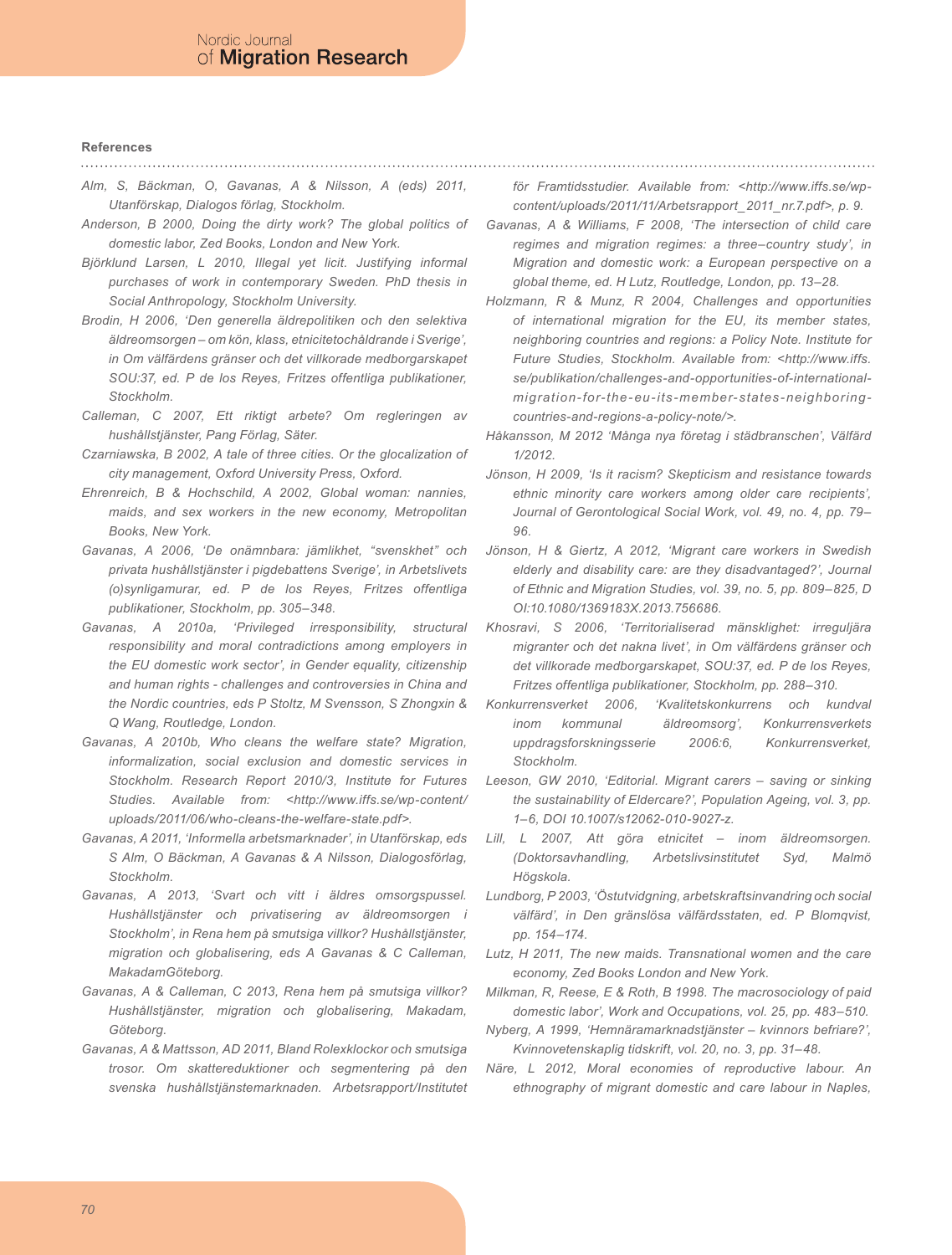#### **References**

- *Alm, S, Bäckman, O, Gavanas, A & Nilsson, A (eds) 2011, Utanförskap, Dialogos förlag, Stockholm.*
- *Anderson, B 2000, Doing the dirty work? The global politics of domestic labor, Zed Books, London and New York.*
- *Björklund Larsen, L 2010, Illegal yet licit. Justifying informal purchases of work in contemporary Sweden. PhD thesis in Social Anthropology, Stockholm University.*
- *Brodin, H 2006, 'Den generella äldrepolitiken och den selektiva äldreomsorgen – om kön, klass, etnicitetochåldrande i Sverige', in Om välfärdens gränser och det villkorade medborgarskapet SOU:37, ed. P de los Reyes, Fritzes offentliga publikationer, Stockholm.*
- *Calleman, C 2007, Ett riktigt arbete? Om regleringen av hushållstjänster, Pang Förlag, Säter.*
- *Czarniawska, B 2002, A tale of three cities. Or the glocalization of city management, Oxford University Press, Oxford.*
- *Ehrenreich, B & Hochschild, A 2002, Global woman: nannies, maids, and sex workers in the new economy, Metropolitan Books, New York.*
- *Gavanas, A 2006, 'De onämnbara: jämlikhet, "svenskhet" och privata hushållstjänster i pigdebattens Sverige', in Arbetslivets (o)synligamurar, ed. P de los Reyes, Fritzes offentliga publikationer, Stockholm, pp. 305–348.*
- Gavanas, A 2010a, 'Privileged irresponsibility, structural *responsibility and moral contradictions among employers in the EU domestic work sector', in Gender equality, citizenship and human rights - challenges and controversies in China and the Nordic countries, eds P Stoltz, M Svensson, S Zhongxin & Q Wang, Routledge, London.*
- *Gavanas, A 2010b, Who cleans the welfare state? Migration, informalization, social exclusion and domestic services in Stockholm. Research Report 2010/3, Institute for Futures Studies. Available from: <http://www.iffs.se/wp-content/ uploads/2011/06/who-cleans-the-welfare-state.pdf>.*
- *Gavanas, A 2011, 'Informella arbetsmarknader', in Utanförskap, eds S Alm, O Bäckman, A Gavanas & A Nilsson, Dialogosförlag, Stockholm.*
- *Gavanas, A 2013, 'Svart och vitt i äldres omsorgspussel. Hushållstjänster och privatisering av äldreomsorgen i Stockholm', in Rena hem på smutsiga villkor? Hushållstjänster, migration och globalisering, eds A Gavanas & C Calleman, MakadamGöteborg.*
- *Gavanas, A & Calleman, C 2013, Rena hem på smutsiga villkor? Hushållstjänster, migration och globalisering, Makadam, Göteborg.*
- *Gavanas, A & Mattsson, AD 2011, Bland Rolexklockor och smutsiga trosor. Om skattereduktioner och segmentering på den svenska hushållstjänstemarknaden. Arbetsrapport/Institutet*

*för Framtidsstudier. Available from: <http://www.iffs.se/wpcontent/uploads/2011/11/Arbetsrapport\_2011\_nr.7.pdf>, p. 9.*

- *Gavanas, A & Williams, F 2008, 'The intersection of child care regimes and migration regimes: a three–country study', in Migration and domestic work: a European perspective on a global theme, ed. H Lutz, Routledge, London, pp. 13–28.*
- *Holzmann, R & Munz, R 2004, Challenges and opportunities of international migration for the EU, its member states, neighboring countries and regions: a Policy Note. Institute for Future Studies, Stockholm. Available from: <http://www.iffs. se/publikation/challenges-and-opportunities-of-internationalmigration-for-the-eu-its-member-states-neighboringcountries-and-regions-a-policy-note/>.*
- *Håkansson, M 2012 'Många nya företag i städbranschen', Välfärd 1/2012.*
- *Jönson, H 2009, 'Is it racism? Skepticism and resistance towards ethnic minority care workers among older care recipients', Journal of Gerontological Social Work, vol. 49, no. 4, pp. 79– 96.*
- *Jönson, H & Giertz, A 2012, 'Migrant care workers in Swedish elderly and disability care: are they disadvantaged?', Journal of Ethnic and Migration Studies, vol. 39, no. 5, pp. 809–825, D OI:10.1080/1369183X.2013.756686.*
- *Khosravi, S 2006, 'Territorialiserad mänsklighet: irreguljära migranter och det nakna livet', in Om välfärdens gränser och det villkorade medborgarskapet, SOU:37, ed. P de los Reyes, Fritzes offentliga publikationer, Stockholm, pp. 288–310.*
- *Konkurrensverket 2006, 'Kvalitetskonkurrens och kundval inom kommunal äldreomsorg', Konkurrensverkets uppdragsforskningsserie 2006:6, Konkurrensverket, Stockholm.*
- *Leeson, GW 2010, 'Editorial. Migrant carers saving or sinking the sustainability of Eldercare?', Population Ageing, vol. 3, pp. 1–6, DOI 10.1007/s12062-010-9027-z.*
- Lill, L 2007, Att göra etnicitet inom äldreomsorgen. *(Doktorsavhandling, Arbetslivsinstitutet Syd, Malmö Högskola.*
- *Lundborg, P 2003, 'Östutvidgning, arbetskraftsinvandring och social välfärd', in Den gränslösa välfärdsstaten, ed. P Blomqvist, pp. 154–174.*
- *Lutz, H 2011, The new maids. Transnational women and the care economy, Zed Books London and New York.*
- *Milkman, R, Reese, E & Roth, B 1998. The macrosociology of paid domestic labor', Work and Occupations, vol. 25, pp. 483–510.*
- *Nyberg, A 1999, 'Hemnäramarknadstjänster kvinnors befriare?', Kvinnovetenskaplig tidskrift, vol. 20, no. 3, pp. 31–48.*
- *Näre, L 2012, Moral economies of reproductive labour. An ethnography of migrant domestic and care labour in Naples,*